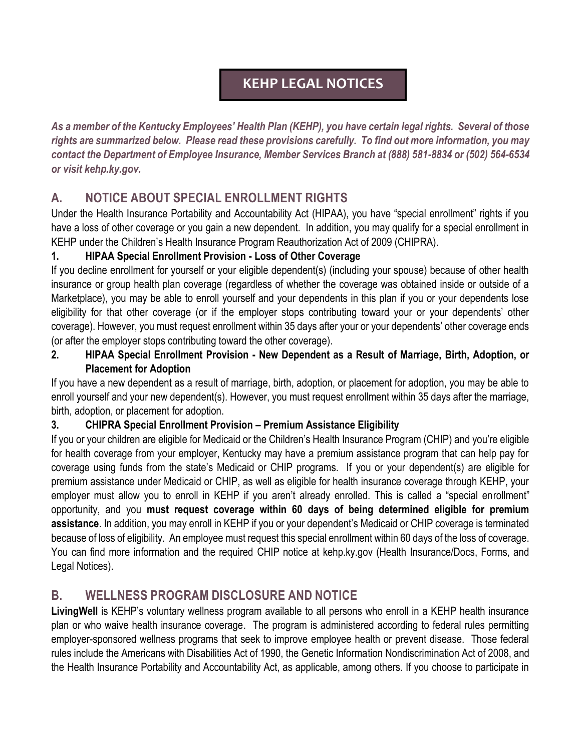# **KEHP LEGAL NOTICES**

*As a member of the Kentucky Employees' Health Plan (KEHP), you have certain legal rights. Several of those rights are summarized below. Please read these provisions carefully. To find out more information, you may contact the Department of Employee Insurance, Member Services Branch at (888) 581-8834 or (502) 564-6534 or visit kehp.ky.gov.*

## **A. NOTICE ABOUT SPECIAL ENROLLMENT RIGHTS**

Under the Health Insurance Portability and Accountability Act (HIPAA), you have "special enrollment" rights if you have a loss of other coverage or you gain a new dependent. In addition, you may qualify for a special enrollment in KEHP under the Children's Health Insurance Program Reauthorization Act of 2009 (CHIPRA).

#### **1. HIPAA Special Enrollment Provision - Loss of Other Coverage**

If you decline enrollment for yourself or your eligible dependent(s) (including your spouse) because of other health insurance or group health plan coverage (regardless of whether the coverage was obtained inside or outside of a Marketplace), you may be able to enroll yourself and your dependents in this plan if you or your dependents lose eligibility for that other coverage (or if the employer stops contributing toward your or your dependents' other coverage). However, you must request enrollment within 35 days after your or your dependents' other coverage ends (or after the employer stops contributing toward the other coverage).

**2. HIPAA Special Enrollment Provision - New Dependent as a Result of Marriage, Birth, Adoption, or Placement for Adoption**

If you have a new dependent as a result of marriage, birth, adoption, or placement for adoption, you may be able to enroll yourself and your new dependent(s). However, you must request enrollment within 35 days after the marriage, birth, adoption, or placement for adoption.

#### **3. CHIPRA Special Enrollment Provision – Premium Assistance Eligibility**

If you or your children are eligible for Medicaid or the Children's Health Insurance Program (CHIP) and you're eligible for health coverage from your employer, Kentucky may have a premium assistance program that can help pay for coverage using funds from the state's Medicaid or CHIP programs. If you or your dependent(s) are eligible for premium assistance under Medicaid or CHIP, as well as eligible for health insurance coverage through KEHP, your employer must allow you to enroll in KEHP if you aren't already enrolled. This is called a "special enrollment" opportunity, and you **must request coverage within 60 days of being determined eligible for premium assistance**. In addition, you may enroll in KEHP if you or your dependent's Medicaid or CHIP coverage is terminated because of loss of eligibility. An employee must request this special enrollment within 60 days of the loss of coverage. You can find more information and the required CHIP notice at kehp.ky.gov (Health Insurance/Docs, Forms, and Legal Notices).

### **B. WELLNESS PROGRAM DISCLOSURE AND NOTICE**

**LivingWell** is KEHP's voluntary wellness program available to all persons who enroll in a KEHP health insurance plan or who waive health insurance coverage. The program is administered according to federal rules permitting employer-sponsored wellness programs that seek to improve employee health or prevent disease. Those federal rules include the Americans with Disabilities Act of 1990, the Genetic Information Nondiscrimination Act of 2008, and the Health Insurance Portability and Accountability Act, as applicable, among others. If you choose to participate in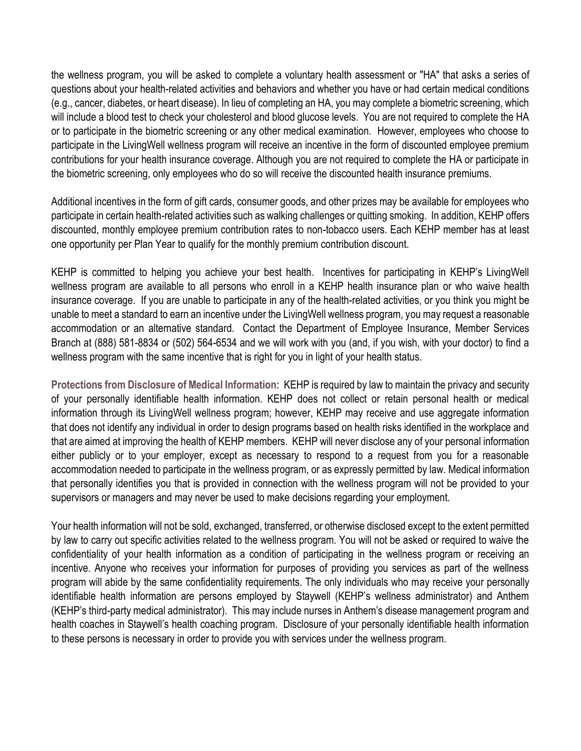the wellness program, you will be asked to complete a voluntary health assessment or "HA" that asks a series of questions about your health-related activities and behaviors and whether you have or had certain medical conditions (e.g., cancer, diabetes, or heart disease). In lieu of completing an HA, you may complete a biometric screening, which will include a blood test to check your cholesterol and blood glucose levels. You are not required to complete the HA or to participate in the biometric screening or any other medical examination. However, employees who choose to participate in the LivingWell wellness program will receive an incentive in the form of discounted employee premium contributions for your health insurance coverage. Although you are not required to complete the HA or participate in the biometric screening, only employees who do so will receive the discounted health insurance premiums.

Additional incentives in the form of gift cards, consumer goods, and other prizes may be available for employees who participate in certain health-related activities such as walking challenges or quitting smoking. In addition, KEHP offers discounted, monthly employee premium contribution rates to non-tobacco users. Each KEHP member has at least one opportunity per Plan Year to qualify for the monthly premium contribution discount.

KEHP is committed to helping you achieve your best health. Incentives for participating in KEHP's LivingWell wellness program are available to all persons who enroll in a KEHP health insurance plan or who waive health insurance coverage. If you are unable to participate in any of the health-related activities, or you think you might be unable to meet a standard to earn an incentive under the LivingWell wellness program, you may request a reasonable accommodation or an alternative standard. Contact the Department of Employee Insurance, Member Services Branch at (888) 581-8834 or (502) 564-6534 and we will work with you (and, if you wish, with your doctor) to find a wellness program with the same incentive that is right for you in light of your health status.

**Protections from Disclosure of Medical Information:** KEHP is required by law to maintain the privacy and security of your personally identifiable health information. KEHP does not collect or retain personal health or medical information through its LivingWell wellness program; however, KEHP may receive and use aggregate information that does not identify any individual in order to design programs based on health risks identified in the workplace and that are aimed at improving the health of KEHP members. KEHP will never disclose any of your personal information either publicly or to your employer, except as necessary to respond to a request from you for a reasonable accommodation needed to participate in the wellness program, or as expressly permitted by law. Medical information that personally identifies you that is provided in connection with the wellness program will not be provided to your supervisors or managers and may never be used to make decisions regarding your employment.

Your health information will not be sold, exchanged, transferred, or otherwise disclosed except to the extent permitted by law to carry out specific activities related to the wellness program. You will not be asked or required to waive the confidentiality of your health information as a condition of participating in the wellness program or receiving an incentive. Anyone who receives your information for purposes of providing you services as part of the wellness program will abide by the same confidentiality requirements. The only individuals who may receive your personally identifiable health information are persons employed by Staywell (KEHP's wellness administrator) and Anthem (KEHP's third-party medical administrator). This may include nurses in Anthem's disease management program and health coaches in Staywell's health coaching program. Disclosure of your personally identifiable health information to these persons is necessary in order to provide you with services under the wellness program.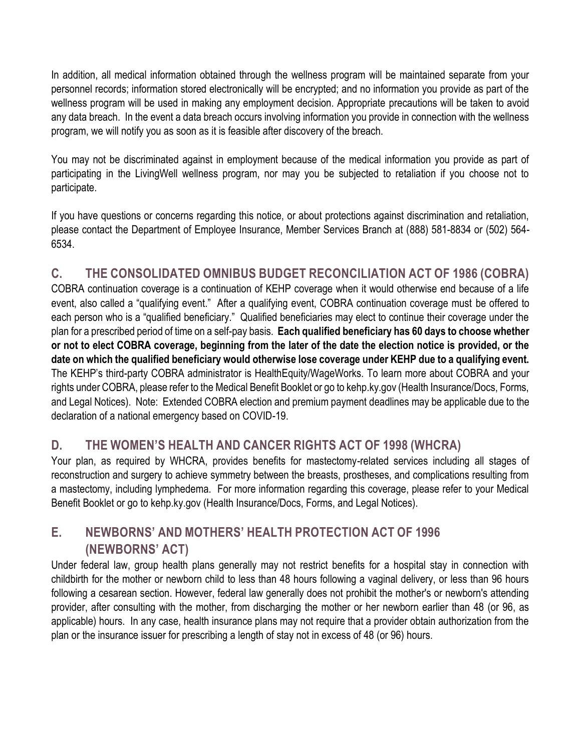In addition, all medical information obtained through the wellness program will be maintained separate from your personnel records; information stored electronically will be encrypted; and no information you provide as part of the wellness program will be used in making any employment decision. Appropriate precautions will be taken to avoid any data breach. In the event a data breach occurs involving information you provide in connection with the wellness program, we will notify you as soon as it is feasible after discovery of the breach.

You may not be discriminated against in employment because of the medical information you provide as part of participating in the LivingWell wellness program, nor may you be subjected to retaliation if you choose not to participate.

If you have questions or concerns regarding this notice, or about protections against discrimination and retaliation, please contact the Department of Employee Insurance, Member Services Branch at (888) 581-8834 or (502) 564- 6534.

# **C. THE CONSOLIDATED OMNIBUS BUDGET RECONCILIATION ACT OF 1986 (COBRA)**

COBRA continuation coverage is a continuation of KEHP coverage when it would otherwise end because of a life event, also called a "qualifying event." After a qualifying event, COBRA continuation coverage must be offered to each person who is a "qualified beneficiary." Qualified beneficiaries may elect to continue their coverage under the plan for a prescribed period of time on a self-pay basis. **Each qualified beneficiary has 60 days to choose whether or not to elect COBRA coverage, beginning from the later of the date the election notice is provided, or the date on which the qualified beneficiary would otherwise lose coverage under KEHP due to a qualifying event.**  The KEHP's third-party COBRA administrator is HealthEquity/WageWorks. To learn more about COBRA and your rights under COBRA, please refer to the Medical Benefit Booklet or go to kehp.ky.gov (Health Insurance/Docs, Forms, and Legal Notices). Note: Extended COBRA election and premium payment deadlines may be applicable due to the declaration of a national emergency based on COVID-19.

### **D. THE WOMEN'S HEALTH AND CANCER RIGHTS ACT OF 1998 (WHCRA)**

Your plan, as required by WHCRA, provides benefits for mastectomy-related services including all stages of reconstruction and surgery to achieve symmetry between the breasts, prostheses, and complications resulting from a mastectomy, including lymphedema. For more information regarding this coverage, please refer to your Medical Benefit Booklet or go to kehp.ky.gov (Health Insurance/Docs, Forms, and Legal Notices).

### **E. NEWBORNS' AND MOTHERS' HEALTH PROTECTION ACT OF 1996 (NEWBORNS' ACT)**

Under federal law, group health plans generally may not restrict benefits for a hospital stay in connection with childbirth for the mother or newborn child to less than 48 hours following a vaginal delivery, or less than 96 hours following a cesarean section. However, federal law generally does not prohibit the mother's or newborn's attending provider, after consulting with the mother, from discharging the mother or her newborn earlier than 48 (or 96, as applicable) hours. In any case, health insurance plans may not require that a provider obtain authorization from the plan or the insurance issuer for prescribing a length of stay not in excess of 48 (or 96) hours.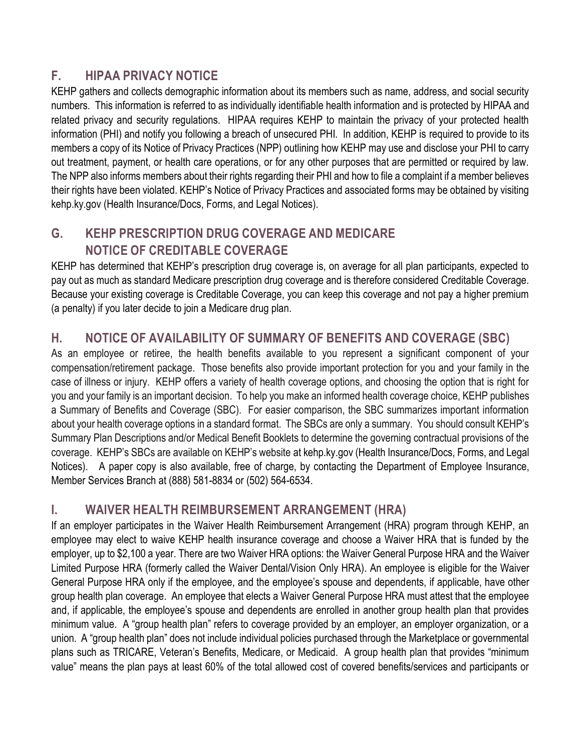#### **F. HIPAA PRIVACY NOTICE**

KEHP gathers and collects demographic information about its members such as name, address, and social security numbers. This information is referred to as individually identifiable health information and is protected by HIPAA and related privacy and security regulations. HIPAA requires KEHP to maintain the privacy of your protected health information (PHI) and notify you following a breach of unsecured PHI. In addition, KEHP is required to provide to its members a copy of its Notice of Privacy Practices (NPP) outlining how KEHP may use and disclose your PHI to carry out treatment, payment, or health care operations, or for any other purposes that are permitted or required by law. The NPP also informs members about their rights regarding their PHI and how to file a complaint if a member believes their rights have been violated. KEHP's Notice of Privacy Practices and associated forms may be obtained by visiting kehp.ky.gov (Health Insurance/Docs, Forms, and Legal Notices).

## **G. KEHP PRESCRIPTION DRUG COVERAGE AND MEDICARE NOTICE OF CREDITABLE COVERAGE**

KEHP has determined that KEHP's prescription drug coverage is, on average for all plan participants, expected to pay out as much as standard Medicare prescription drug coverage and is therefore considered Creditable Coverage. Because your existing coverage is Creditable Coverage, you can keep this coverage and not pay a higher premium (a penalty) if you later decide to join a Medicare drug plan.

### **H. NOTICE OF AVAILABILITY OF SUMMARY OF BENEFITS AND COVERAGE (SBC)**

As an employee or retiree, the health benefits available to you represent a significant component of your compensation/retirement package. Those benefits also provide important protection for you and your family in the case of illness or injury. KEHP offers a variety of health coverage options, and choosing the option that is right for you and your family is an important decision. To help you make an informed health coverage choice, KEHP publishes a Summary of Benefits and Coverage (SBC). For easier comparison, the SBC summarizes important information about your health coverage options in a standard format. The SBCs are only a summary. You should consult KEHP's Summary Plan Descriptions and/or Medical Benefit Booklets to determine the governing contractual provisions of the coverage. KEHP's SBCs are available on KEHP's website at kehp.ky.gov (Health Insurance/Docs, Forms, and Legal Notices). A paper copy is also available, free of charge, by contacting the Department of Employee Insurance, Member Services Branch at (888) 581-8834 or (502) 564-6534.

### **I. WAIVER HEALTH REIMBURSEMENT ARRANGEMENT (HRA)**

If an employer participates in the Waiver Health Reimbursement Arrangement (HRA) program through KEHP, an employee may elect to waive KEHP health insurance coverage and choose a Waiver HRA that is funded by the employer, up to \$2,100 a year. There are two Waiver HRA options: the Waiver General Purpose HRA and the Waiver Limited Purpose HRA (formerly called the Waiver Dental/Vision Only HRA). An employee is eligible for the Waiver General Purpose HRA only if the employee, and the employee's spouse and dependents, if applicable, have other group health plan coverage. An employee that elects a Waiver General Purpose HRA must attest that the employee and, if applicable, the employee's spouse and dependents are enrolled in another group health plan that provides minimum value. A "group health plan" refers to coverage provided by an employer, an employer organization, or a union. A "group health plan" does not include individual policies purchased through the Marketplace or governmental plans such as TRICARE, Veteran's Benefits, Medicare, or Medicaid. A group health plan that provides "minimum value" means the plan pays at least 60% of the total allowed cost of covered benefits/services and participants or